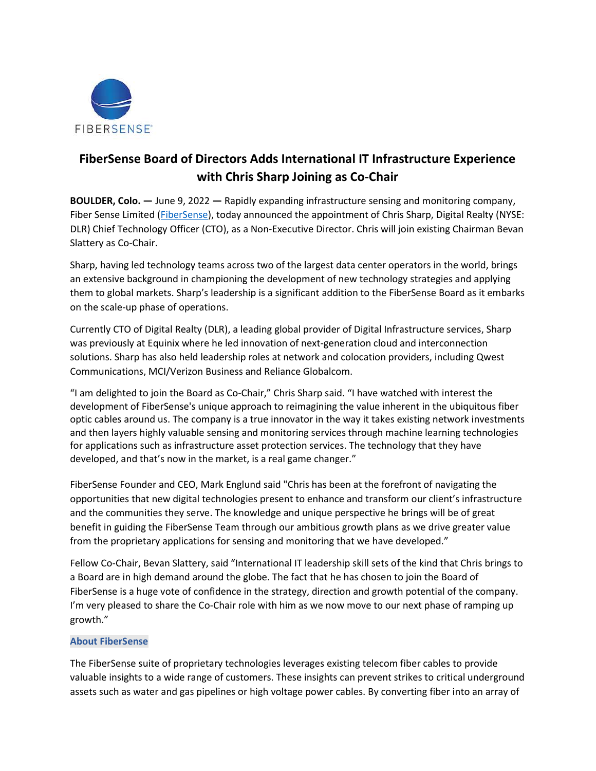

## FiberSense Board of Directors Adds International IT Infrastructure Experience with Chris Sharp Joining as Co-Chair

BOULDER, Colo. — June 9, 2022 — Rapidly expanding infrastructure sensing and monitoring company, Fiber Sense Limited (FiberSense), today announced the appointment of Chris Sharp, Digital Realty (NYSE: DLR) Chief Technology Officer (CTO), as a Non-Executive Director. Chris will join existing Chairman Bevan Slattery as Co-Chair.

Sharp, having led technology teams across two of the largest data center operators in the world, brings an extensive background in championing the development of new technology strategies and applying them to global markets. Sharp's leadership is a significant addition to the FiberSense Board as it embarks on the scale-up phase of operations.

Currently CTO of Digital Realty (DLR), a leading global provider of Digital Infrastructure services, Sharp was previously at Equinix where he led innovation of next-generation cloud and interconnection solutions. Sharp has also held leadership roles at network and colocation providers, including Qwest Communications, MCI/Verizon Business and Reliance Globalcom.

"I am delighted to join the Board as Co-Chair," Chris Sharp said. "I have watched with interest the development of FiberSense's unique approach to reimagining the value inherent in the ubiquitous fiber optic cables around us. The company is a true innovator in the way it takes existing network investments and then layers highly valuable sensing and monitoring services through machine learning technologies for applications such as infrastructure asset protection services. The technology that they have developed, and that's now in the market, is a real game changer."

FiberSense Founder and CEO, Mark Englund said "Chris has been at the forefront of navigating the opportunities that new digital technologies present to enhance and transform our client's infrastructure and the communities they serve. The knowledge and unique perspective he brings will be of great benefit in guiding the FiberSense Team through our ambitious growth plans as we drive greater value from the proprietary applications for sensing and monitoring that we have developed."

Fellow Co-Chair, Bevan Slattery, said "International IT leadership skill sets of the kind that Chris brings to a Board are in high demand around the globe. The fact that he has chosen to join the Board of FiberSense is a huge vote of confidence in the strategy, direction and growth potential of the company. I'm very pleased to share the Co-Chair role with him as we now move to our next phase of ramping up growth."

## About FiberSense

The FiberSense suite of proprietary technologies leverages existing telecom fiber cables to provide valuable insights to a wide range of customers. These insights can prevent strikes to critical underground assets such as water and gas pipelines or high voltage power cables. By converting fiber into an array of